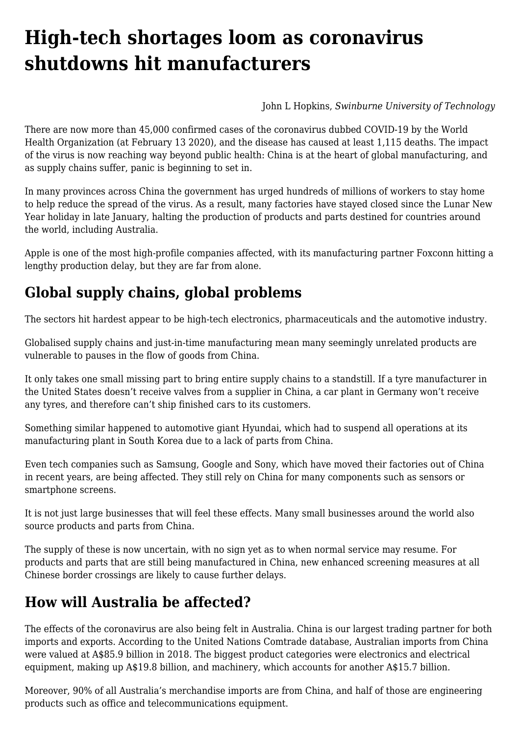# **[High-tech shortages loom as coronavirus](https://www.melbpc.org.au/high-tech-shortages-loom-as-coronavirus-shutdowns-hit-manufacturers/) [shutdowns hit manufacturers](https://www.melbpc.org.au/high-tech-shortages-loom-as-coronavirus-shutdowns-hit-manufacturers/)**

[John L Hopkins](https://theconversation.com/profiles/john-l-hopkins-255434), *[Swinburne University of Technology](https://theconversation.com/institutions/swinburne-university-of-technology-767)*

There are now [more than 45,000](https://www.who.int/docs/default-source/coronaviruse/situation-reports/20200212-sitrep-23-ncov.pdf?sfvrsn=41e9fb78_2) confirmed cases of the coronavirus dubbed COVID-19 by the World Health Organization (at February 13 2020), and the disease has caused at least 1,115 deaths. The impact of the virus is now reaching way beyond public health: China is at the heart of global manufacturing, and as supply chains suffer, [panic](https://www.logisticsmgmt.com/article/coronavirus_and_the_global_supply_chain_rising_panic_part) is beginning to set in.

In many provinces across China the government has urged hundreds of millions of workers to [stay home](https://www.afr.com/world/asia/virus-death-toll-above-900-as-workers-told-to-stay-home-20200210-p53zbr) to help reduce the spread of the virus. As a result, many factories have stayed closed since the Lunar New Year holiday in late January, halting the production of products and parts destined for countries around the world, including Australia.

Apple is one of the most high-profile companies affected, with its [manufacturing partner Foxconn hitting a](https://www.wsj.com/amp/articles/rapid-spread-of-coronavirus-tests-apples-china-dependency-11580910743) [lengthy production delay,](https://www.wsj.com/amp/articles/rapid-spread-of-coronavirus-tests-apples-china-dependency-11580910743) but they are far from alone.

## **Global supply chains, global problems**

The sectors hit hardest [appear to be](https://www.forbes.com/sites/stevebanker/2020/02/10/global-high-tech-supply-chains-disrupted-by-the-coronavirus/amp/) high-tech electronics, pharmaceuticals and the automotive industry.

Globalised supply chains and just-in-time manufacturing mean many seemingly unrelated products are vulnerable to pauses in the flow of goods from China.

It only takes one small missing part to bring entire supply chains to a standstill. If a tyre manufacturer in the United States doesn't receive valves from a supplier in China, a car plant in Germany won't receive any tyres, and therefore can't ship finished cars to its customers.

Something similar happened to automotive giant Hyundai, which had to [suspend all operations](https://www.nytimes.com/2020/02/04/business/hyundai-south-korea-coronavirus.html) at its manufacturing plant in South Korea due to a lack of parts from China.

Even tech companies such as Samsung, Google and Sony, which have moved their factories out of China in recent years, are [being affected.](https://qz.com/1800540/how-coronavirus-is-upending-the-tech-industrys-supply-chain/) They still rely on China for many components such as sensors or smartphone screens.

It is not just large businesses that will feel these effects. Many small businesses around the world also source products and parts from China.

The supply of these is now uncertain, with no sign yet as to when normal service may resume. For products and parts that are still being manufactured in China, new enhanced screening measures at all Chinese border crossings are likely to cause further delays.

### **How will Australia be affected?**

The effects of the coronavirus are also being felt in Australia. China is our largest trading partner for both imports and exports. According to the United Nations Comtrade database, [Australian imports from China](https://tradingeconomics.com/australia/imports/china) were valued at A\$85.9 billion in 2018. The biggest product categories were electronics and electrical equipment, making up A\$19.8 billion, and machinery, which accounts for another A\$15.7 billion.

Moreover, [90% of all Australia's merchandise imports](https://www.aph.gov.au/About_Parliament/Parliamentary_Departments/Parliamentary_Library/pubs/BriefingBook44p/China) are from China, and half of those are engineering products such as office and telecommunications equipment.